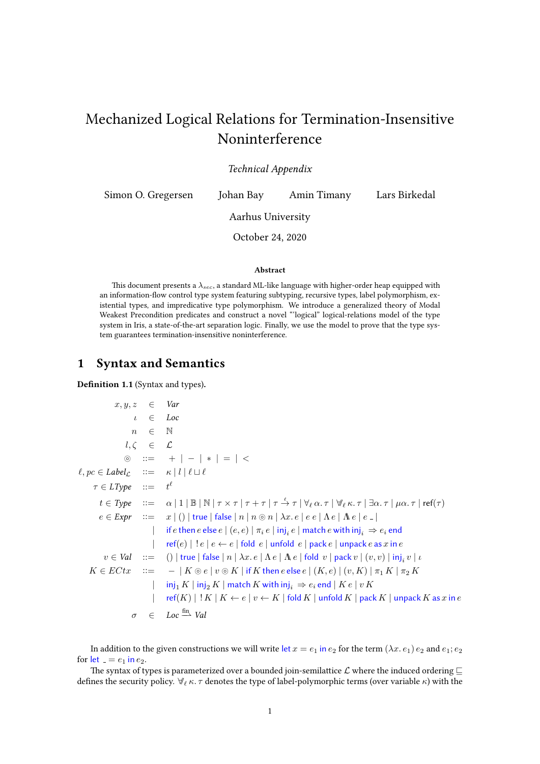# Mechanized Logical Relations for Termination-Insensitive Noninterference

Technical Appendix

Simon O. Gregersen Johan Bay Amin Timany Lars Birkedal

Aarhus University

October 24, 2020

#### Abstract

This document presents a  $\lambda_{sec}$ , a standard ML-like language with higher-order heap equipped with an information-flow control type system featuring subtyping, recursive types, label polymorphism, existential types, and impredicative type polymorphism. We introduce a generalized theory of Modal Weakest Precondition predicates and construct a novel "'logical" logical-relations model of the type system in Iris, a state-of-the-art separation logic. Finally, we use the model to prove that the type system guarantees termination-insensitive noninterference.

#### 1 Syntax and Semantics

Definition 1.1 (Syntax and types).

 $x, y, z \in Var$  $\iota \in Loc$  $n \in \mathbb{N}$  $l, \zeta \in \mathcal{L}$  $\circledcirc$  ::= + | - | \* | = | <  $\ell, pc \in Label_{\mathcal{L}} \quad ::= \quad \kappa \mid l \mid \ell \sqcup \ell$  $\tau \in LType \quad ::= \quad t^\ell$  $t\in \mathit{Type} \quad ::= \quad \alpha \mid 1 \mid \mathbb{B} \mid \mathbb{N} \mid \tau \times \tau \mid \tau + \tau \mid \tau \stackrel{\ell}{\to} \tau \mid \forall_{\ell} \, \alpha.\, \tau \mid \forall_{\ell} \, \kappa.\, \tau \mid \exists \alpha.\, \tau \mid \mu\alpha.\, \tau \mid \mathsf{ref}(\tau)$  $e \in \text{Expr}$  ::=  $x | () |$  true | false  $|n | n \otimes n | \lambda x. e | e e | \Lambda e | \Lambda e | e |$  $|$  if  $e$  then  $e$  else  $e \mid (e,e) \mid \pi_i \, e \mid \mathsf{inj}_i \, e \mid \mathsf{match} \, e$  with  $\mathsf{inj}_i \Rightarrow e_i$  end  $\vert$  ref $(e) \vert$ ! $e \vert e \leftarrow e \vert$  fold  $e \vert$  unfold  $e \vert$  pack  $e \vert$  unpack  $e$  as  $x$  in  $e$  $v \in \mathit{Val}$  ::= () | true | false |  $n \mid \lambda x.\, e \mid \Lambda e \mid \Lambda e$  | fold  $v$  | pack  $v \mid (v, v) \mid \mathsf{inj}_i v \mid \iota$  $K \in E C t x$  ::=  $- | K \circledcirc e | v \circledcirc K |$  if K then e else  $e | (K, e) | (v, K) | \pi_1 K | \pi_2 K$  $\left| \quad \text{inj}_1 K \mid \text{inj}_2 K \mid \text{match } K \text{ with } \text{inj}_i \Rightarrow e_i \text{ end } \mid K e \mid v K \right|$ | ref $(K)$  |  $!K \mid K \leftarrow e \mid v \leftarrow K$  | fold  $K$  | unfold  $K$  | pack  $K$  | unpack  $K$  as  $x$  in  $e$  $\sigma \in Loc \stackrel{\text{fin}}{\longrightarrow} Val$ 

In addition to the given constructions we will write let  $x = e_1$  in  $e_2$  for the term  $(\lambda x. e_1) e_2$  and  $e_1; e_2$ for let  $= e_1$  in  $e_2$ .

The syntax of types is parameterized over a bounded join-semilattice  $\mathcal L$  where the induced ordering  $\sqsubseteq$ defines the security policy.  $\forall_{\ell} \kappa$ .  $\tau$  denotes the type of label-polymorphic terms (over variable  $\kappa$ ) with the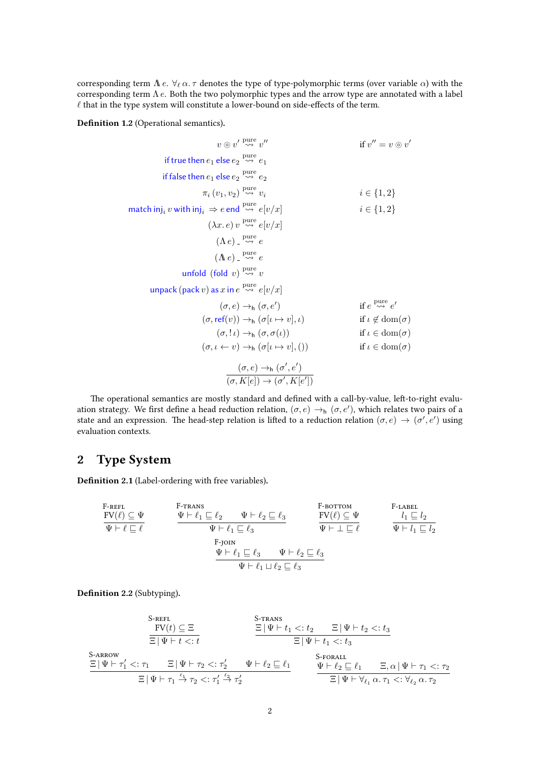corresponding term  $\Lambda$  e.  $\forall_{\ell} \alpha$ .  $\tau$  denotes the type of type-polymorphic terms (over variable  $\alpha$ ) with the corresponding term  $\Lambda$  e. Both the two polymorphic types and the arrow type are annotated with a label  $\ell$  that in the type system will constitute a lower-bound on side-effects of the term.

Definition 1.2 (Operational semantics).

$$
v \circ v' \xrightarrow{\text{pure}} v''
$$
\nif true then  $e_1$  else  $e_2 \xrightarrow{\text{pure}} e_1$   
\nif false then  $e_1$  else  $e_2 \xrightarrow{\text{pure}} e_2$   
\n $\pi_i (v_1, v_2) \xrightarrow{\text{pure}} v_i$   
\n $i \in \{1, 2\}$   
\nmatch inj<sub>i</sub> v with inj<sub>i</sub>  $\Rightarrow$  e end  $\xrightarrow{\text{pure}} e[v/x]$   
\n $(\lambda x. e) v \xrightarrow{\text{wave}} e[v/x]$   
\n $(\Lambda e) \xrightarrow{\text{pure}} e$   
\n $(\Lambda e) \xrightarrow{\text{pure}} e$   
\n $(\Lambda e) \xrightarrow{\text{pure}} e$   
\n $(\Lambda e) \xrightarrow{\text{pure}} e$   
\n $(\Lambda e) \xrightarrow{\text{pure}} e$   
\n $(\Lambda e) \xrightarrow{\text{pure}} e$   
\n $(\Lambda e) \xrightarrow{\text{pure}} e$   
\n $(\Lambda e) \xrightarrow{\text{wave}} e[v/x]$   
\n $(\sigma, e) \xrightarrow{\text{pure}} e[v/x]$   
\n $(\sigma, e) \xrightarrow{\text{free}} (\sigma, e')$   
\nif  $e \xrightarrow{\text{pure}} e'$   
\n $(\sigma, \text{ref}(v)) \xrightarrow{\text{free}} (\sigma, \sigma(v))$   
\nif  $v \notin \text{dom}(\sigma)$   
\n $(\sigma, l \rightarrow h) (\sigma, \sigma(l))$   
\nif  $l \in \text{dom}(\sigma)$   
\n $(\sigma, l \leftarrow v) \xrightarrow{\text{free}} (\sigma, K[e]) \xrightarrow{(\sigma', K[e'])}$ 

The operational semantics are mostly standard and defined with a call-by-value, left-to-right evaluation strategy. We first define a head reduction relation,  $(\sigma, e) \to_h (\sigma, e')$ , which relates two pairs of a state and an expression. The head-step relation is lifted to a reduction relation  $(\sigma, e) \to (\sigma', e')$  using evaluation contexts.

### 2 Type System

Definition 2.1 (Label-ordering with free variables).

$$
\begin{array}{llll} \text{F-REFL} & \text{F-TRANS} & \text{F-BOTTOM} \\ \hline \text{FV}(\ell) \subseteq \Psi & \text{F-TRANS} & \text{FV}(\ell) \subseteq \Psi & \text{F-LABEL} \\ \hline \text{F-V}(\ell) \subseteq \Psi & \text{F-DAPE} & \text{FV}(\ell) \subseteq \Psi & l_1 \sqsubseteq l_2 \\ \text{F-JOIN} & \text{F+L} \sqsubseteq \ell_3 & \text{F+L} \sqsubseteq \ell_3 \\ & \text{F+L} \sqsubseteq \ell_3 & \text{F+L} \sqsubseteq \ell_3 \\ & \text{F+L} \sqsubseteq \ell_3 & \text{F+L} \sqsubseteq \ell_3 \\ & \text{F+L} \sqcup \ell_2 \sqsubseteq \ell_3 & \text{F+L} \sqsubseteq \ell_3 \\ \end{array}
$$

Definition 2.2 (Subtyping).

$$
\begin{array}{lll} \text{S-refl} & \text{S-refl} & \text{S-refl} \\ \hline \hline \text{FV}(t) \subseteq \Xi & \Xi \, | \, \Psi \vdash t_1 <: t_2 & \Xi \, | \, \Psi \vdash t_2 <: t_3 \\ \hline \Xi \, | \, \Psi \vdash t <: t & \Xi \, | \, \Psi \vdash t_1 <: t_3 \\ \text{S-arrow} & \Xi \, | \, \Psi \vdash \tau_1' <: \tau_1 & \Xi \, | \, \Psi \vdash \tau_2 <: \tau_2' & \Psi \vdash \ell_2 \sqsubseteq \ell_1 & \Psi \vdash \ell_2 \sqsubseteq \ell_1 & \Xi, \alpha \, | \, \Psi \vdash \tau_1 <: \tau_2 \\ \hline & \Xi \, | \, \Psi \vdash \tau_1 \stackrel{\ell_1}{\to} \tau_2 <: \tau_1' \stackrel{\ell_2}{\to} \tau_2' & \Psi \vdash \ell_2 \sqsubseteq \ell_1 & \Xi \, | \, \Psi \vdash \forall_{\ell_1} \, \alpha. \, \tau_1 <: \forall_{\ell_2} \, \alpha. \, \tau_2 \end{array}
$$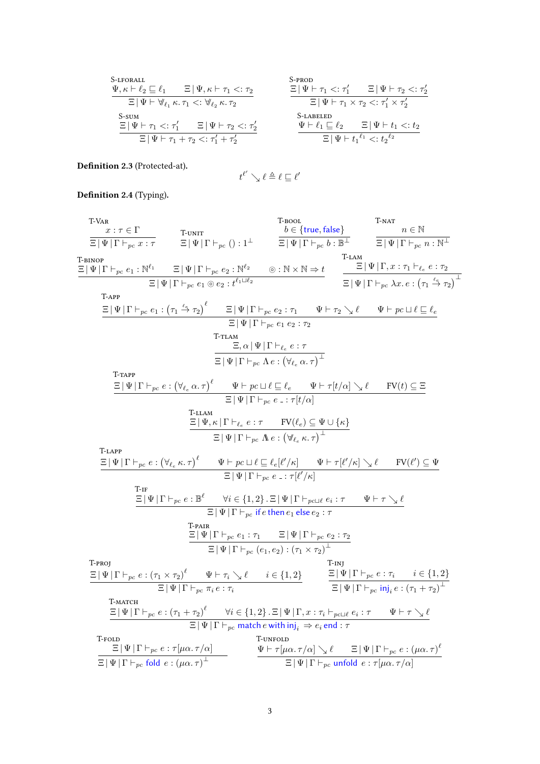| S-IFORALL                                                                                      | $\Psi, \kappa \vdash \ell_2 \sqsubseteq \ell_1$                                                  | $\Xi \mid \Psi \vdash \pi_1 \prec : \tau_2$                                                  | $\Xi \mid \Psi \vdash \tau_1 \prec : \tau_1' \qquad \Xi \mid \Psi \vdash \tau_2 \prec : \tau_2'$ |
|------------------------------------------------------------------------------------------------|--------------------------------------------------------------------------------------------------|----------------------------------------------------------------------------------------------|--------------------------------------------------------------------------------------------------|
| $\Xi \mid \Psi \vdash \forall_{\ell_1} \kappa. \tau_1 \prec : \forall_{\ell_2} \kappa. \tau_2$ | $\Xi \mid \Psi \vdash \tau_1 \times \tau_2 \prec : \tau_1' \times \tau_2'$                       |                                                                                              |                                                                                                  |
| S-sum                                                                                          | $\Xi \mid \Psi \vdash \tau_1 \prec : \tau_1' \qquad \Xi \mid \Psi \vdash \tau_2 \prec : \tau_2'$ | $\Xi \mid \Psi \vdash \ell_1 \sqsubseteq \ell_2 \qquad \Xi \mid \Psi \vdash t_1 \prec : t_2$ |                                                                                                  |
| $\Xi \mid \Psi \vdash \tau_1 \vdash \tau_2 \prec : \tau_1' + \tau_2'$                          | $\Psi \vdash \ell_1 \sqsubseteq \ell_2 \qquad \Xi \mid \Psi \vdash t_1 \prec : t_2^{\ell_2}$     |                                                                                              |                                                                                                  |

Definition 2.3 (Protected-at).

$$
t^{\ell'} \searrow \ell \triangleq \ell \sqsubseteq \ell'
$$

Definition 2.4 (Typing).

T-VAR  
\n
$$
\frac{x:\tau \in \Gamma}{\Xi|\Psi|\Gamma|_{p_c} x:\tau} \qquad \frac{\tau_{\text{BNOT}}}{\Xi|\Psi|\Gamma|_{p_c} \theta:\mathbb{R}^4} \qquad \frac{\Xi|\Psi|\Gamma|_{p_c} \theta:\mathbb{R}^4}{\Xi|\Psi|\Gamma|_{p_c} \theta:\mathbb{R}^4} \qquad \frac{\Xi|\Psi|\Gamma|_{p_c} \theta:\mathbb{R}^4}{\Xi|\Psi|\Gamma|_{p_c} \theta:\mathbb{R}^4} \qquad \frac{\tau_{\text{BNOT}}}{\Xi|\Psi|\Gamma|_{p_c} \theta:\mathbb{R}^4} \qquad \frac{\tau_{\text{BMD}}}{\Xi|\Psi|\Gamma|_{p_c} \theta:\mathbb{R}^4} \qquad \frac{\tau_{\text{BMD}}}{\Xi|\Psi|\Gamma|_{p_c} \theta:\mathbb{R}^4} \qquad \frac{\tau_{\text{BMD}}}{\Xi|\Psi|\Gamma|_{p_c} \theta:\mathbb{R}^4} \qquad \frac{\tau_{\text{BMD}}}{\Xi|\Psi|\Gamma|_{p_c} \theta:\mathbb{R}^4} \qquad \frac{\tau_{\text{BMD}}}{\Xi|\Psi|\Gamma|_{p_c} \theta:\mathbb{R}^4} \qquad \frac{\tau_{\text{BMD}}}{\Xi|\Psi|\Gamma|_{p_c} \theta:\mathbb{R}^4} \qquad \frac{\tau_{\text{BMD}}}{\Xi|\Psi|\Gamma|_{p_c} \theta:\mathbb{R}^4} \qquad \frac{\tau_{\text{BMD}}}{\Xi|\Psi|\Gamma|_{p_c} \theta:\mathbb{R}^4} \qquad \frac{\tau_{\text{BMD}}}{\Xi|\Psi|\Gamma|_{p_c} \theta:\mathbb{R}^4} \qquad \frac{\tau_{\text{BMD}}}{\Xi|\Psi|\Gamma|_{p_c} \theta:\mathbb{R}^4} \qquad \frac{\tau_{\text{BMD}}}{\Xi|\Psi|\Gamma|_{p_c} \theta:\mathbb{R}^4} \qquad \frac{\tau_{\text{BMD}}}{\Xi|\Psi|\Gamma|_{p_c} \theta:\mathbb{R}^4} \qquad \frac{\tau_{\text{BMD}}}{\Xi|\Psi|\Gamma|_{p_c} \theta:\mathbb{R}^4} \qquad \frac{\tau_{\text{BMD}}}{\Xi|\Psi|\Gamma|_{p_c} \theta:\mathbb{R}^4} \qquad \frac{\tau_{\text{BMD}}}{\Xi|\Psi|\Gamma|_{p_c} \theta:\mathbb{R}^4
$$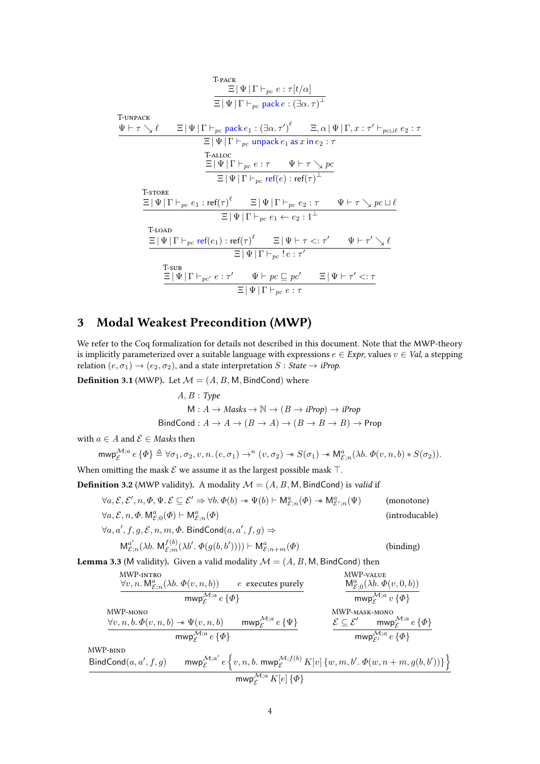T-RACT  
\n
$$
\frac{\Xi |\Psi | \Gamma \vdash_{pc} e : \tau[t/\alpha]}{\Xi |\Psi | \Gamma \vdash_{pc} \text{pack } e : (\exists \alpha.\tau)^{\perp}}
$$
\nT-UNPACK  
\n
$$
\frac{\Psi \vdash \tau \searrow \ell \qquad \Xi |\Psi | \Gamma \vdash_{pc} \text{pack } e_1 : (\exists \alpha.\tau')^{\ell} \qquad \Xi, \alpha |\Psi | \Gamma, x : \tau' \vdash_{pc \sqcup \ell} e_2 : \tau}{\Xi |\Psi | \Gamma \vdash_{pc} \text{unpack } e_1 \text{ as } x \text{ in } e_2 : \tau}
$$
\nT-ALLOC  
\n
$$
\frac{\Xi |\Psi | \Gamma \vdash_{pc} e : \tau \qquad \Psi \vdash \tau \searrow pc}{\Xi |\Psi | \Gamma \vdash_{pc} \text{ref}(e) : \text{ref}(\tau)^{\perp}}
$$
\nT-STORE  
\n
$$
\frac{\Xi |\Psi | \Gamma \vdash_{pc} e_1 : \text{ref}(\tau)^{\ell} \qquad \Xi |\Psi | \Gamma \vdash_{pc} e_2 : \tau \qquad \Psi \vdash \tau \searrow pc \sqcup \ell}{\Xi |\Psi | \Gamma \vdash_{pc} e_1 \leftarrow e_2 : 1^{\perp}}
$$
\nT-LOAD  
\n
$$
\frac{\Xi |\Psi | \Gamma \vdash_{pc} \text{ref}(e_1) : \text{ref}(\tau)^{\ell} \qquad \Xi |\Psi \vdash \tau \leq : \tau' \qquad \Psi \vdash \tau' \searrow \ell}{\Xi |\Psi | \Gamma \vdash_{pc} e : \tau' \qquad \Xi |\Psi \vdash \tau' \leq : \tau}
$$
\nT-SUB  
\n
$$
\frac{\Xi |\Psi | \Gamma \vdash_{pc'} e : \tau' \qquad \Psi \vdash pc \sqsubseteq pc' \qquad \Xi |\Psi \vdash \tau' \leq : \tau}{\Xi |\Psi | \Gamma \vdash_{pc} e : \tau}
$$

## 3 Modal Weakest Precondition (MWP)

We refer to the Coq formalization for details not described in this document. Note that the MWP-theory is implicitly parameterized over a suitable language with expressions  $e \in Expr$ , values  $v \in Val$ , a stepping relation  $(e, \sigma_1) \rightarrow (e_2, \sigma_2)$ , and a state interpretation  $S : State \rightarrow iProp$ .

**Definition 3.1** (MWP). Let  $\mathcal{M} = (A, B, M, B$  ind Cond) where

$$
A, B: Type
$$
  

$$
M: A \rightarrow Masks \rightarrow \mathbb{N} \rightarrow (B \rightarrow iProp) \rightarrow iProp
$$
  
FindCond:  $A \rightarrow A \rightarrow (B \rightarrow A) \rightarrow (B \rightarrow B \rightarrow B) \rightarrow Prop$ 

with  $a \in A$  and  $\mathcal{E} \in \mathit{Masks}$  then

$$
\text{mwp}_{\mathcal{E}}^{\mathcal{M};a} e \{ \Phi \} \triangleq \forall \sigma_1, \sigma_2, v, n. (e, \sigma_1) \rightarrow^n (v, \sigma_2) \cdot * S(\sigma_1) \cdot * M_{\mathcal{E};n}^a (\lambda b. \Phi(v, n, b) * S(\sigma_2)).
$$

When omitting the mask  $\mathcal E$  we assume it as the largest possible mask  $\top$ .

**Definition 3.2** (MWP validity). A modality  $M = (A, B, M, B)$  indCond is valid if

$$
\forall a, \mathcal{E}, \mathcal{E}', n, \Phi, \Psi. \mathcal{E} \subseteq \mathcal{E}' \Rightarrow \forall b. \Phi(b) \twoheadrightarrow \Psi(b) \vdash \mathsf{M}_{\mathcal{E};n}^a(\Phi) \twoheadrightarrow \mathsf{M}_{\mathcal{E}';n}^a(\Psi)
$$
 (monotone)  

$$
\forall a, \mathcal{E}, n, \Phi. \mathsf{M}_{\mathcal{E};0}^a(\Phi) \vdash \mathsf{M}_{\mathcal{E};n}^a(\Phi)
$$
 (introducable)  

$$
\forall a, a', f, g, \mathcal{E}, n, m, \Phi. \mathsf{ BindCond}(a, a', f, g) \Rightarrow
$$

$$
M_{\mathcal{E};n}^{a'}(\lambda b. M_{\mathcal{E};m}^{f(b)}(\lambda b'. \Phi(g(b,b')))) \vdash M_{\mathcal{E};n+m}^{a}(\Phi)
$$
 (binding)

**Lemma 3.3** (M validity). Given a valid modality  $\mathcal{M} = (A, B, M, B \text{indCond})$  then

| MWP-nviro                                                     | MWP-value                                                                      |                                            |                                      |                                            |              |
|---------------------------------------------------------------|--------------------------------------------------------------------------------|--------------------------------------------|--------------------------------------|--------------------------------------------|--------------|
| $\forall v, n. M_{\mathcal{E};n}^a(\lambda b. \Phi(v, n, b))$ | $e$ executes purely<br>mwp <sub><math>\mathcal{E}^{\mathcal{M};a}</math></sub> | $M_{\mathcal{E};0}^{\mathcal{M};b}$        |                                      |                                            |              |
| $\forall v, n, b \Phi(v, n, b) \Rightarrow \Psi(v, n, b)$     | $\text{mwp}_{\mathcal{E}}^{\mathcal{M};a}$                                     | $e \{\Phi\}$                               |                                      |                                            |              |
| $\forall v, n, b \Phi(v, n, b) \Rightarrow \Psi(v, n, b)$     | $\text{mwp}_{\mathcal{E}}^{\mathcal{M};a}$                                     | $e \{\Psi\}$                               | $\mathcal{E} \subseteq \mathcal{E}'$ | $\text{mwp}_{\mathcal{E}}^{\mathcal{M};a}$ | $e \{\Phi\}$ |
| $\text{MWP-nasK-MONO}$                                        | $\mathcal{E} \subseteq \mathcal{E}'$                                           | $\text{mwp}_{\mathcal{E}}^{\mathcal{M};a}$ | $e \{\Phi\}$                         |                                            |              |
| $\text{MWP-BIND}$                                             | $\mathcal{E} \subseteq \mathcal{E}'$                                           | $\text{mwp}_{\mathcal{E}}^{\mathcal{M};a}$ | $e \{\Phi\}$                         |                                            |              |
| $\text{MWP-BIND}$                                             | $\mathcal{E} \subseteq \mathcal{E}'$                                           | $\text{mwp}_{\mathcal{E}}^{\mathcal{M};a}$ | $e \{\Phi\}$                         |                                            |              |
| $\text{MWP-BIND}$                                             | $\mathcal{E} \subseteq \mathcal{E}'$                                           | $\text{mwp}_{\mathcal{E}}^{\mathcal{M};a}$ | $e \{\Phi\}$                         |                                            |              |
| $\text{MWP-RIND}$                                             | $\mathcal{E} \subseteq \math$                                                  |                                            |                                      |                                            |              |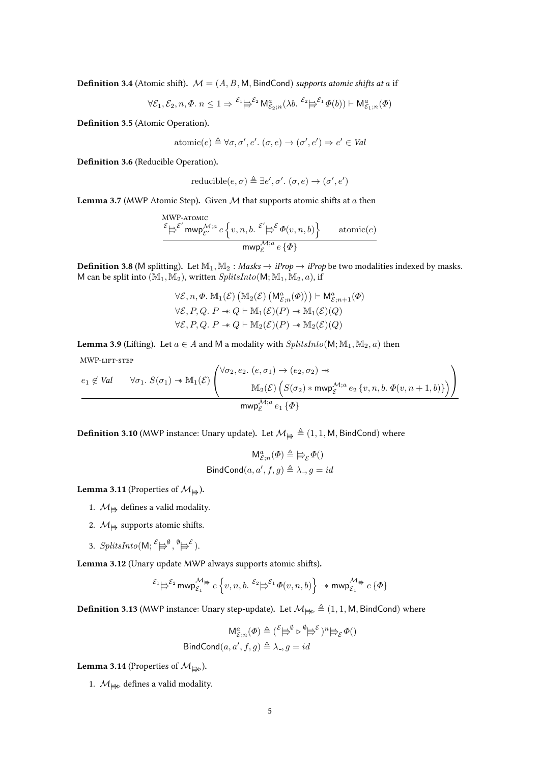**Definition 3.4** (Atomic shift).  $M = (A, B, M, B$  ind Cond) supports atomic shifts at a if

$$
\forall \mathcal{E}_1, \mathcal{E}_2, n, \Phi \in \mathbb{R}^n \leq 1 \Rightarrow \mathcal{E}_1 \models^{\mathcal{E}_2} \mathsf{M}_{\mathcal{E}_2; n}^a(\lambda b. \mathcal{E}_2 \models^{\mathcal{E}_1} \Phi(b)) \vdash \mathsf{M}_{\mathcal{E}_1; n}^a(\Phi)
$$

Definition 3.5 (Atomic Operation).

atomic
$$
(e) \triangleq \forall \sigma, \sigma', e', (\sigma, e) \rightarrow (\sigma', e') \Rightarrow e' \in Val
$$

Definition 3.6 (Reducible Operation).

reducible
$$
(e, \sigma) \triangleq \exists e', \sigma' . (\sigma, e) \rightarrow (\sigma', e')
$$

**Lemma 3.7** (MWP Atomic Step). Given  $M$  that supports atomic shifts at a then

$$
\underbrace{\overset{\mathcal{E}}{\models^{\mathcal{E'}} \text{mwp}^{\mathcal{M};a}_{\mathcal{E'}} e}e\left\{v,n,b.\overset{\mathcal{E}'}{\models^{\mathcal{E}}}\Phi(v,n,b)\right\}}_{\text{mwp}^{\mathcal{M};a}_{\mathcal{E}}\,e\,\{\Phi\}} \quad \text{atomic}(e)}
$$

**Definition 3.8** (M splitting). Let  $M_1, M_2$ : Masks  $\rightarrow$  *iProp*  $\rightarrow$  *iProp* be two modalities indexed by masks. M can be split into  $(\mathbb{M}_1, \mathbb{M}_2)$ , written  $\mathit{SplitsInto}(\mathsf{M}; \mathbb{M}_1, \mathbb{M}_2, a)$ , if

$$
\forall \mathcal{E}, n, \Phi. \mathbb{M}_1(\mathcal{E}) \left( \mathbb{M}_2(\mathcal{E}) \left( \mathbb{M}_{\mathcal{E};n}(\Phi) \right) \right) \vdash \mathsf{M}_{\mathcal{E};n+1}^a(\Phi)
$$
  

$$
\forall \mathcal{E}, P, Q. P \twoheadrightarrow Q \vdash \mathbb{M}_1(\mathcal{E})(P) \twoheadrightarrow \mathbb{M}_1(\mathcal{E})(Q)
$$
  

$$
\forall \mathcal{E}, P, Q. P \twoheadrightarrow Q \vdash \mathbb{M}_2(\mathcal{E})(P) \twoheadrightarrow \mathbb{M}_2(\mathcal{E})(Q)
$$

**Lemma 3.9** (Lifting). Let  $a \in A$  and M a modality with  $SplitsInto(M; M_1, M_2, a)$  then

MWP-lift-step

$$
e_1 \notin Val \qquad \forall \sigma_1. S(\sigma_1) \twoheadrightarrow \mathbb{M}_1(\mathcal{E}) \left( \frac{\forall \sigma_2, e_2. (e, \sigma_1) \rightarrow (e_2, \sigma_2) \twoheadrightarrow}{\mathbb{M}_2(\mathcal{E}) \left( S(\sigma_2) \ast \text{mwp}_{\mathcal{E}}^{\mathcal{M};a} e_2 \{v, n, b. \Phi(v, n+1, b)\} \right)} \right)
$$
\n
$$
\text{mwp}_{\mathcal{E}}^{\mathcal{M};a} e_1 \{\Phi\}
$$

**Definition 3.10** (MWP instance: Unary update). Let  $\mathcal{M}_{\Rightarrow} \triangleq (1, 1, M, B$  indCond) where

$$
\mathsf{M}_{\mathcal{E};n}^{a}(\varPhi) \triangleq \text{ }\biguplus_{\mathcal{E}}\varPhi()
$$
  
 
$$
\mathsf{BindCond}(a,a',f,g) \triangleq \lambda_{-},g=id
$$

**Lemma 3.11** (Properties of  $\mathcal{M}_{\frac{1}{2}}$ ).

- 1.  $M_{\bigoplus}$  defines a valid modality.
- 2.  $\mathcal{M}_{\frac{1}{2}}$  supports atomic shifts.
- 3. SplitsInto(M;  $\mathcal{E} \models^{\emptyset}$ ,  $\stackrel{\emptyset}{\models} \mathcal{E}$ ).

Lemma 3.12 (Unary update MWP always supports atomic shifts).

$$
^{\mathcal{E}_1} \not \models^{\mathcal{E}_2} \text{mwp}_{\mathcal{E}_1}^{\mathcal{M}_\frac{\mathbf{b}}{\mathbf{p}}} \ e \left\{ v, n, b \ldotp^\mathcal{E_2} \not \models^{\mathcal{E}_1} \varPhi(v,n,b) \right\} \twoheadrightarrow \text{mwp}_{\mathcal{E}_1}^{\mathcal{M}_\frac{\mathbf{b}}{\mathbf{p}}} \ e \left\{ \varPhi \right\}
$$

**Definition 3.13** (MWP instance: Unary step-update). Let  $M_{\text{B}} \triangleq (1, 1, M, \text{BindCond})$  where

$$
M_{\mathcal{E};n}^a(\Phi) \triangleq {\mathcal{E} \mapsto \mathcal{E} \mapsto \mathcal{E} \mapsto \mathcal{E} \mapsto \mathcal{E} \in \Phi(\mathcal{E})}
$$
  
BindCond(a, a', f, g)  $\triangleq \lambda_{-1} g = id$ 

**Lemma 3.14** (Properties of  $\mathcal{M}_{\mathsf{H}}$ ).

1.  $M_{\text{H}}$  defines a valid modality.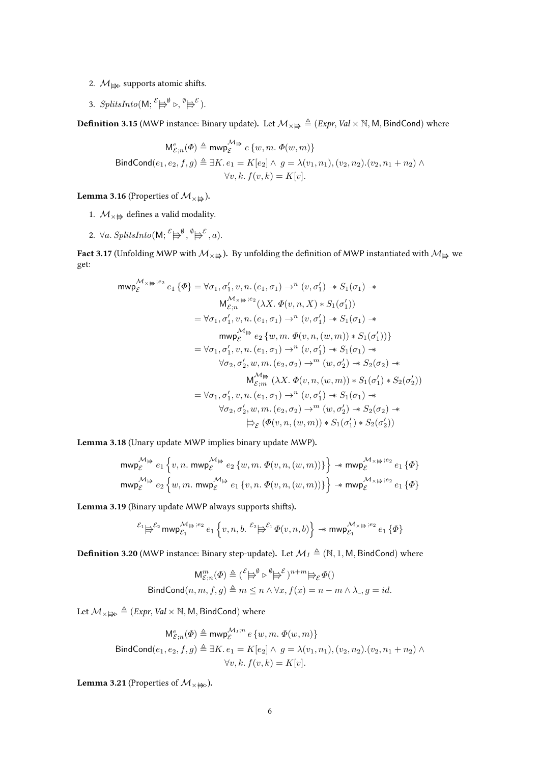- 2.  $\mathcal{M}_{\bigoplus}$  supports atomic shifts.
- 3. SplitsInto(M;  $\mathcal{E} \models^{\emptyset} \triangleright, \mathcal{O} \models^{\mathcal{E}}$ ).

**Definition 3.15** (MWP instance: Binary update). Let  $\mathcal{M}_{\times} \neq \big( \text{Expr}, \text{Val} \times \mathbb{N}, \mathsf{M}, \text{BindCond} \big)$  where

$$
M_{\mathcal{E};n}^{e}(\Phi) \triangleq \text{mwp}_{\mathcal{E}}^{\mathcal{M}_{\biguplus}} e \{w, m. \Phi(w, m)\}
$$
  
\n
$$
\text{BindCond}(e_1, e_2, f, g) \triangleq \exists K. e_1 = K[e_2] \land g = \lambda(v_1, n_1), (v_2, n_2). (v_2, n_1 + n_2) \land \forall v, k. f(v, k) = K[v].
$$

**Lemma 3.16** (Properties of  $\mathcal{M}_{\times}$ ).

- 1.  $M_{\times}$  defines a valid modality.
- 2.  $\forall a$ . SplitsInto(M;  $\overset{\mathcal{E}}{\Longleftrightarrow}^{\emptyset}$ ,  $\overset{\emptyset}{\Rightarrow}^{\mathcal{E}}$ , a).

**Fact 3.17** (Unfolding MWP with  $M_{\times}$   $\Rightarrow$ ). By unfolding the definition of MWP instantiated with  $M_{\Rightarrow}$  we get:

$$
\begin{aligned}\n\mathsf{mwp}^{\mathcal{M}_{\times} \ni e_2}_{\mathcal{E}} e_1 \{\Phi\} &= \forall \sigma_1, \sigma_1', v, n. (e_1, \sigma_1) \rightarrow^n (v, \sigma_1') \twoheadrightarrow S_1(\sigma_1) \twoheadrightarrow \\
&\qquad \mathsf{M}_{\mathcal{E};n}^{\mathcal{M}_{\times} \ni e_2} (\lambda X. \Phi(v, n, X) * S_1(\sigma_1')) \\
&= \forall \sigma_1, \sigma_1', v, n. (e_1, \sigma_1) \rightarrow^n (v, \sigma_1') \twoheadrightarrow S_1(\sigma_1) \twoheadrightarrow \\
&\qquad \mathsf{mwp}_{\mathcal{E}}^{\mathcal{M} \ni} e_2 \{w, m. \Phi(v, n, (w, m)) * S_1(\sigma_1')\} \\
&= \forall \sigma_1, \sigma_1', v, n. (e_1, \sigma_1) \rightarrow^n (v, \sigma_1') \twoheadrightarrow S_1(\sigma_1) \twoheadrightarrow \\
&\qquad \forall \sigma_2, \sigma_2', w, m. (e_2, \sigma_2) \rightarrow^m (w, \sigma_2') \twoheadrightarrow S_2(\sigma_2) \twoheadrightarrow \\
&\qquad \mathsf{M}_{\mathcal{E};m}^{\mathcal{M} \nrightarrow} (\lambda X. \Phi(v, n, (w, m)) * S_1(\sigma_1') * S_2(\sigma_2')) \\
&= \forall \sigma_1, \sigma_1', v, n. (e_1, \sigma_1) \rightarrow^n (v, \sigma_1') \twoheadrightarrow S_1(\sigma_1) \twoheadrightarrow \\
&\qquad \forall \sigma_2, \sigma_2', w, m. (e_2, \sigma_2) \rightarrow^m (w, \sigma_2') \twoheadrightarrow S_2(\sigma_2) \twoheadrightarrow \\
&\qquad \models_{\mathcal{E}} (\Phi(v, n, (w, m)) * S_1(\sigma_1') * S_2(\sigma_2'))\n\end{aligned}
$$

Lemma 3.18 (Unary update MWP implies binary update MWP).

$$
\begin{aligned} & {\sf mwp}^{{\mathcal M}_\frac{\omega}{\mathcal B}}_{\mathcal E} e_1 \left\{ v, n. \ {\sf mwp}^{{\mathcal M}_\frac{\omega}{\mathcal B}}_{\mathcal E} e_2 \left\{ w, m. \ \varPhi(v,n,(w,m)) \right\} \right\} \twoheadrightarrow {\sf mwp}^{{\mathcal M}_\times\,\boxminus\, i\in 2}_{\mathcal E} e_1 \left\{ \varPhi \right\} \\ & {\sf mwp}^{{\mathcal M}_\frac{\omega}{\mathcal B}}_{\mathcal E} e_2 \left\{ w, m. \ {\sf mwp}^{{\mathcal M}_\frac{\omega}{\mathcal B}}_{\mathcal E} e_1 \left\{ v, n. \ \varPhi(v,n,(w,m)) \right\} \right\} \twoheadrightarrow {\sf mwp}^{{\mathcal M}_\times\,\boxminus\, i\in 2}_{\mathcal E} e_1 \left\{ \varPhi \right\} \end{aligned}
$$

Lemma 3.19 (Binary update MWP always supports shifts).

$$
^{\mathcal{E}_1} \right| \stackrel{\sim}{\Rightarrow} ^{\mathcal{E}_2} \text{mwp}_{\mathcal{E}_1}^{\mathcal{M}_\frac{\omega}{\omega};e_2} e_1 \left\{ v, n, b. \stackrel{\mathcal{E}_2}{\iff} ^{\mathcal{E}_1} \Phi(v,n,b) \right\} \twoheadrightarrow \text{mwp}_{\mathcal{E}_1}^{\mathcal{M}_\times \frac{\omega}{\omega};e_2} e_1 \left\{ \Phi \right\}
$$

**Definition 3.20** (MWP instance: Binary step-update). Let  $\mathcal{M}_I \triangleq (\mathbb{N}, 1, \mathbb{M}, \mathsf{BindCond})$  where

$$
M_{\mathcal{E};n}^m(\Phi) \triangleq {\mathcal{E} \models^{\emptyset} \triangleright^{\emptyset} \models^{\mathcal{E}}})^{n+m} \models_{\mathcal{E}} \Phi()
$$
  
BindCond(n, m, f, g)  $\triangleq m \leq n \land \forall x, f(x) = n - m \land \lambda_{-}, g = id.$ 

Let  $\mathcal{M}_{\times \boxplus \triangleright} \triangleq (Expr, Val \times \mathbb{N}, \mathsf{M}, \mathsf{BindCond})$  where

$$
\begin{aligned} \mathsf{M}^e_{\mathcal{E};n}(\varPhi) &\triangleq \mathsf{mwp}^{\mathcal{M}_I;n}_\mathcal{E}\ e\{w,m.\ \varPhi(w,m)\} \\ \mathsf{BindCond}(e_1,e_2,f,g) &\triangleq \exists K.\ e_1 = K[e_2] \wedge \ g = \lambda(v_1,n_1), (v_2,n_2).(v_2,n_1+n_2) \wedge \\ \forall v,k.\ f(v,k) = K[v]. \end{aligned}
$$

**Lemma 3.21** (Properties of  $\mathcal{M}_{\times}$ <sub> $\Rightarrow$ </sub>).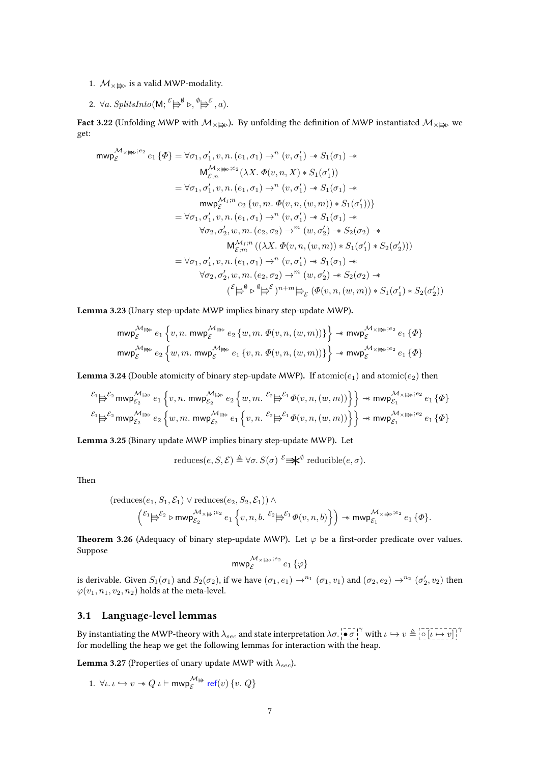- 1.  $M_{\times}$  is a valid MWP-modality.
- 2.  $\forall a$ . SplitsInto(M;  $\stackrel{\mathcal{E}}{\Longleftrightarrow}^{\emptyset} \triangleright, \stackrel{\emptyset}{\Longrightarrow}^{\mathcal{E}}$ , a).

**Fact 3.22** (Unfolding MWP with  $M_{\times}\not\models p$ ). By unfolding the definition of MWP instantiated  $M_{\times}\not\models p$  we get:

$$
\begin{aligned}\n\mathsf{mwp}^{\mathcal{M}_{\times \nexists \triangleright};e_{2}}e_{1}\left\{\Phi\right\} &= \forall \sigma_{1},\sigma_{1}',v,n.(e_{1},\sigma_{1}) \rightarrow^{n}(v,\sigma_{1}') \twoheadrightarrow S_{1}(\sigma_{1}) \twoheadrightarrow \\
&\qquad \mathsf{M}_{\varepsilon;n}^{\mathcal{M}_{\times \nexists \triangleright};e_{2}}(\lambda X.\ \Phi(v,n,X) * S_{1}(\sigma_{1}')) \\
&= \forall \sigma_{1},\sigma_{1}',v,n.(e_{1},\sigma_{1}) \rightarrow^{n}(v,\sigma_{1}') \twoheadrightarrow S_{1}(\sigma_{1}) \twoheadrightarrow \\
&\qquad \mathsf{mwp}_{\varepsilon}^{\mathcal{M}_{I};n}e_{2}\left\{w,m.\ \Phi(v,n,(w,m)) * S_{1}(\sigma_{1}')\right\} \\
&= \forall \sigma_{1},\sigma_{1}',v,n.(e_{1},\sigma_{1}) \rightarrow^{n}(v,\sigma_{1}') \twoheadrightarrow S_{1}(\sigma_{1}) \twoheadrightarrow \\
&\qquad \forall \sigma_{2},\sigma_{2}',w,m.(e_{2},\sigma_{2}) \rightarrow^{m}(w,\sigma_{2}') \twoheadrightarrow S_{2}(\sigma_{2}) \twoheadrightarrow \\
&\qquad \mathsf{M}_{\varepsilon;m}^{\mathcal{M}_{I};n}((\lambda X.\ \Phi(v,n,(w,m)) * S_{1}(\sigma_{1}') * S_{2}(\sigma_{2}'))) \\
&= \forall \sigma_{1},\sigma_{1}',v,n.(e_{1},\sigma_{1}) \rightarrow^{n}(v,\sigma_{1}') \twoheadrightarrow S_{1}(\sigma_{1}) \twoheadrightarrow \\
&\qquad \forall \sigma_{2},\sigma_{2}',w,m.(e_{2},\sigma_{2}) \rightarrow^{m}(w,\sigma_{2}') \twoheadrightarrow S_{2}(\sigma_{2}) \twoheadrightarrow \\
&\qquad (\mathcal{E}_{\Longrightarrow}^{\mathcal{B}} \uplus^{\mathcal{B}})^{n+m} \vDash_{\mathcal{E}} (\Phi(v,n,(w,m)) * S_{1}(\sigma_{1}') * S_{2}(\sigma_{2}'))\n\end{aligned}
$$

Lemma 3.23 (Unary step-update MWP implies binary step-update MWP).

$$
\begin{aligned} & {\rm mwp}_{\mathcal{E}}^{\mathcal{M} \not \Rightarrow \diamond} e_1 \left\{ v, n. \ {\rm mwp}_{\mathcal{E}}^{\mathcal{M} \not \Rightarrow \diamond} e_2 \left\{ w, m. \ \Phi(v,n,(w,m)) \right\} \right\} \twoheadrightarrow {\rm mwp}_{\mathcal{E}}^{\mathcal{M} \times \not \Rightarrow \circ e_2} e_1 \left\{ \varPhi \right\} \\ & {\rm mwp}_{\mathcal{E}}^{\mathcal{M} \not \Rightarrow \diamond} e_2 \left\{ w, m. \ {\rm mwp}_{\mathcal{E}}^{\mathcal{M} \not \Rightarrow \diamond} e_1 \left\{ v, n. \ \varPhi(v,n,(w,m)) \right\} \right\} \twoheadrightarrow {\rm mwp}_{\mathcal{E}}^{\mathcal{M} \times \not \Rightarrow \circ e_2} e_1 \left\{ \varPhi \right\} \end{aligned}
$$

**Lemma 3.24** (Double atomicity of binary step-update MWP). If atomic $(e_1)$  and atomic $(e_2)$  then

$$
\begin{array}{l} \displaystyle ^{\mathcal{E}_1} \not \!\!\!\! \uplus^{\mathcal{E}_2} \mathrm{mwp}^{\mathcal{M}_\boxplus \mathfrak{p}_c}_{\mathcal{E}_2} \left. e_1 \left\{ v,n.\ \mathrm{mwp}^{\mathcal{M}_\boxplus \mathfrak{p}_c}_{\mathcal{E}_2} \right. e_2 \left\{ w,m.\ \!^{\mathcal{E}_2} \not \!\!\! \uplus^{\mathcal{E}_1} \varPhi(v,n,(w,m)) \right\} \right\} \twoheadrightarrow \mathrm{mwp}^{\mathcal{M}_\times \mathfrak{p}_c;e_2}_{\mathcal{E}_1} \left\{ \varPhi \right\} \\ \displaystyle \stackrel{\displaystyle \mathcal{E}_1 \not \!\!\!\! \uplus^{\mathcal{E}_2} \mathrm{mwp}^{\mathcal{M}_\boxplus \mathfrak{p}_c}_{\mathcal{E}_2} \left. e_2 \left\{ w,m.\ \mathrm{mwp}^{\mathcal{M}_\boxplus \mathfrak{p}_c}_{\mathcal{E}_2} \right. e_1 \left\{ v,n.\ \!^{\mathcal{E}_2} \not \!\!\! \uplus^{\mathcal{E}_1} \varPhi(v,n,(w,m)) \right\} \right\} \twoheadrightarrow \mathrm{mwp}^{\mathcal{M}_\times \mathfrak{p}_c;e_2}_{\mathcal{E}_1} \left\{ \varPhi \right\} \end{array}
$$

Lemma 3.25 (Binary update MWP implies binary step-update MWP). Let

reduces
$$
(e, S, \mathcal{E}) \triangleq \forall \sigma, S(\sigma) \stackrel{\mathcal{E}}{\Longrightarrow} \mathcal{E}
$$
 reducible $(e, \sigma)$ .

Then

$$
\begin{aligned} &\left(\text{reduces}(e_1,S_1,\mathcal{E}_1)\vee\text{reduces}(e_2,S_2,\mathcal{E}_1)\right)\wedge\\ &\left(\begin{matrix}\mathcal{E}_1\biguplus\mathcal{E}_2\\\biguplus\mathcal{E}_2\end{matrix}\rhd\text{mwp}_{\mathcal{E}_2}^{\mathcal{M}_\times\right)\Rightarrow e_2}e_1\left\{v,n,b\cdot\begin{matrix}\mathcal{E}_2\biguplus\mathcal{E}_1\varphi(v,n,b)\end{matrix}\right\}\right)\twoheadrightarrow\text{mwp}_{\mathcal{E}_1}^{\mathcal{M}_\times\right)\Rightarrow e_1\left\{\Phi\right\}.\end{aligned}
$$

**Theorem 3.26** (Adequacy of binary step-update MWP). Let  $\varphi$  be a first-order predicate over values. Suppose

$$
\mathrm{mwp}^{\mathcal{M}_\times \not \Rightarrow \flat; e_2}_{\mathcal{E}} e_1 \left\{ \varphi \right\}
$$

is derivable. Given  $S_1(\sigma_1)$  and  $S_2(\sigma_2)$ , if we have  $(\sigma_1, e_1) \to^{n_1} (\sigma_1, v_1)$  and  $(\sigma_2, e_2) \to^{n_2} (\sigma'_2, v_2)$  then  $\varphi(v_1,n_1,v_2,n_2)$  holds at the meta-level.

#### 3.1 Language-level lemmas

By instantiating the MWP-theory with  $\lambda_{sec}$  and state interpretation  $\lambda \sigma$ .  $\overline{|\bullet \sigma|}^{\gamma}$  with  $\iota \hookrightarrow v \triangleq [\overline{\circ}[\iota \mapsto v]\gamma$ for modelling the heap we get the following lemmas for interaction with the heap.

**Lemma 3.27** (Properties of unary update MWP with  $\lambda_{sec}$ ).

1. 
$$
\forall \iota.\ \iota \hookrightarrow v \twoheadrightarrow Q \ \iota \vdash \mathsf{mwp}_{\mathcal{E}}^{\mathcal{M} \mathbin{\uplus}} \ \mathsf{ref}(v) \ \{v.\ Q\}
$$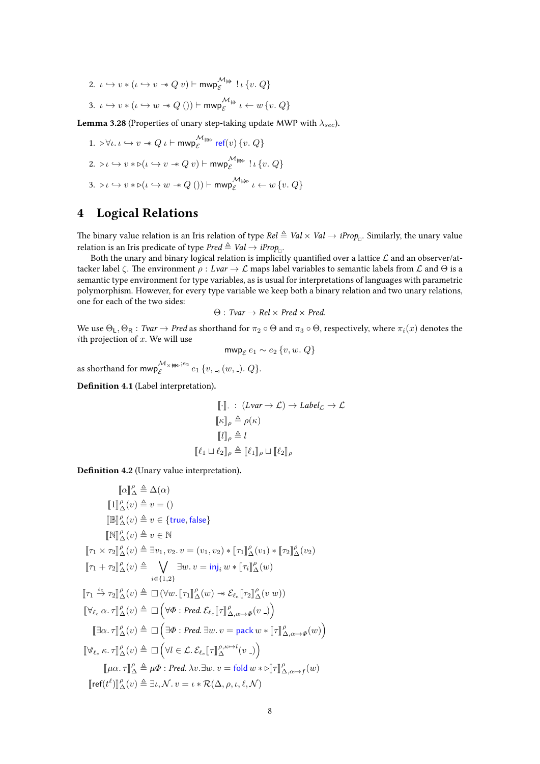2.  $\iota \hookrightarrow v * (\iota \hookrightarrow v * Q v) \vdash \mathsf{mwp}_{\varepsilon}^{\mathcal{M} \mapsto}$  $e^{\mathcal{L} \oplus \{v.\} Q\}$ 

3. 
$$
\iota \hookrightarrow v * (\iota \hookrightarrow w * Q()) \vdash \text{mwp}_{\mathcal{E}}^{\mathcal{M} \#} \iota \leftarrow w \{v, Q\}
$$

**Lemma 3.28** (Properties of unary step-taking update MWP with  $\lambda_{sec}$ ).

1.  $\triangleright \forall \iota \ldotp \iota \hookrightarrow v \twoheadrightarrow Q \iota \vdash \mathsf{mwp}_{\varepsilon}^{\mathcal{M}_{\not\Rightarrow \triangleright}}$  $\mathcal{E} \to \text{ref}(v)$  {v. Q} 2.  $\triangleright \iota \hookrightarrow v * \triangleright (\iota \hookrightarrow v * Q v) \vdash \mathsf{mwp}_{\varepsilon}^{\mathcal{M} \Rightarrow \triangleright}$  $\mathcal{E} \to \{v, Q\}$ 3.  $\triangleright \iota \hookrightarrow v * \triangleright (\iota \hookrightarrow w * Q))$   $\vdash \text{mwp}_{\varepsilon}^{\mathcal{M}_{\not\Rightarrow \triangleright}}$  $\mathcal{E} \to \ell \leftarrow w \{v, Q\}$ 

## 4 Logical Relations

The binary value relation is an Iris relation of type Rel  $\triangleq$  Val  $\times$  Val  $\to$  iProp<sub>n</sub>. Similarly, the unary value relation is an Iris predicate of type  $Pred \triangleq Val \rightarrow iProp_{\Box}.$ 

Both the unary and binary logical relation is implicitly quantified over a lattice  $\mathcal L$  and an observer/attacker label  $\zeta$ . The environment  $\rho : Lvar \to \mathcal{L}$  maps label variables to semantic labels from  $\mathcal{L}$  and  $\Theta$  is a semantic type environment for type variables, as is usual for interpretations of languages with parametric polymorphism. However, for every type variable we keep both a binary relation and two unary relations, one for each of the two sides:

$$
\Theta: \textit{Tvar} \to \textit{Rel} \times \textit{Pred} \times \textit{Pred}.
$$

We use  $\Theta_L, \Theta_R$  : Tvar  $\to$  Pred as shorthand for  $\pi_2 \circ \Theta$  and  $\pi_3 \circ \Theta$ , respectively, where  $\pi_i(x)$  denotes the *i*th projection of  $x$ . We will use

$$
\text{mwp}_{\mathcal{E}}\,e_1 \sim e_2\,\{v,w.\,Q\}
$$

as shorthand for  $\mathsf{mwp}_{\varepsilon}^{\mathcal{M}_{\times \mathfrak{p}_{\triangleright};e_2}}$  $\mathcal{L}_{\varepsilon}^{\mathcal{M}_{\times \nRightarrow \mathfrak{b}};e_2} e_1 \{v, \_, (w, \_) \ldotp Q\}.$ 

Definition 4.1 (Label interpretation).

$$
\begin{aligned}\n\llbracket \cdot \rrbracket. &\colon (Lvar \to \mathcal{L}) \to \mathit{Label}_{\mathcal{L}} \to \mathcal{L} \\
\llbracket \kappa \rrbracket_{\rho} &\triangleq \rho(\kappa) \\
\llbracket l \rrbracket_{\rho} &\triangleq l \\
\llbracket \ell_1 \sqcup \ell_2 \rrbracket_{\rho} &\triangleq \llbracket \ell_1 \rrbracket_{\rho} \sqcup \llbracket \ell_2 \rrbracket_{\rho}\n\end{aligned}
$$

Definition 4.2 (Unary value interpretation).

$$
\llbracket \alpha \rrbracket^{\rho} \triangleq \Delta(\alpha) \llbracket 1 \rrbracket^{\rho} \Delta(v) \triangleq v = () \llbracket \mathbb{B} \mathbb{P}_{\Delta}^{\rho}(v) \triangleq v \in \{\text{true}, \text{false}\} \llbracket \mathbb{N} \rrbracket^{\rho} \Delta(v) \triangleq v \in \mathbb{N} \llbracket \tau_1 \times \tau_2 \rrbracket^{\rho} \Delta(v) \triangleq \exists v_1, v_2, v = (v_1, v_2) * [\![\tau_1]\!]^{\rho} \Delta(v_1) * [\![\tau_2]\!]^{\rho} \Delta(v_2) \llbracket \tau_1 + \tau_2 \rrbracket^{\rho} \Delta(v) \triangleq \bigvee_{i \in \{1, 2\}} \exists w. v = \text{inj}_i w * [\![\tau_i]\!]^{\rho} \Delta(w) \llbracket \tau_1 \stackrel{\ell_e}{\to} \tau_2 \rrbracket^{\rho} \Delta(v) \triangleq \Box (\forall w. [\![\tau_1]\!]^{\rho} \Delta(w) \twoheadrightarrow \mathcal{E}_{\ell_e} [\![\tau_2]\!]^{\rho} \Delta(v w)) \llbracket \forall \ell_e \alpha. \tau \rrbracket^{\rho} \Delta(v) \triangleq \Box (\forall \Phi : Pred. \mathcal{E}_{\ell_e} [\![\tau]\!]^{\rho} \Delta(w \rightarrow \phi(v \rightarrow)) \llbracket \exists \alpha. \tau \rrbracket^{\rho} \Delta(v) \triangleq \Box (\exists \Phi : Pred. \exists w. v = pack w * [\![\tau]\!]^{\rho} \Delta(w \rightarrow \phi(w)) \llbracket \forall \ell_e \kappa. \tau \rrbracket^{\rho} \Delta(v) \triangleq \Box (\forall l \in \mathcal{L}. \mathcal{E}_{\ell_e} [\![\tau]\!]^{\rho, \kappa \mapsto l}_{\Delta}(v \rightarrow)) \llbracket \mu \alpha. \tau \rrbracket^{\rho} \triangleq \mu \Phi : Pred. \lambda v. \exists w. v = fold w * \mathbb{E}[\tau]^{\rho} \Delta_{\alpha \mapsto f}(w) \llbracket \text{ref}(t^{\ell}) \rrbracket^{\rho} \Delta(v) \triangleq \exists \ell, \mathcal{N}. v = \ell * \mathcal{R}(\Delta, \rho, \iota, \ell, \mathcal{N})
$$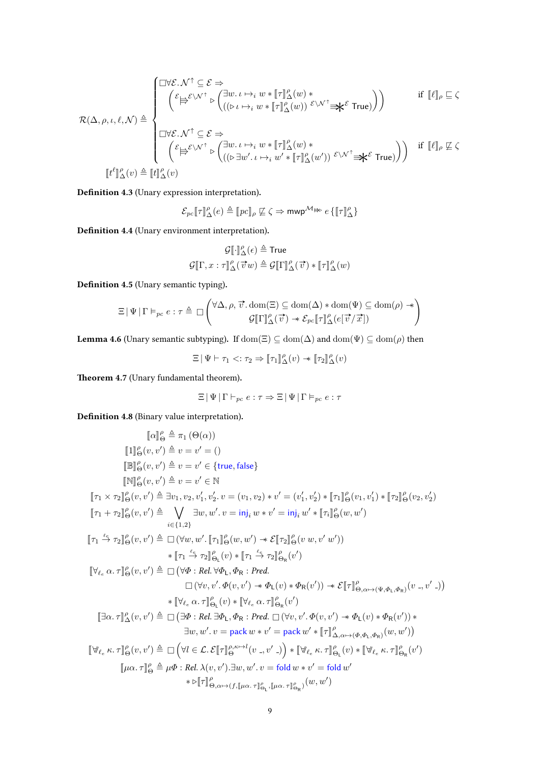$$
\mathcal{R}(\Delta,\rho,\iota,\ell,\mathcal{N})\triangleq\begin{cases} \square\forall\mathcal{E}.\mathcal{N}^{\uparrow}\subseteq\mathcal{E}\Rightarrow\\ \qquad \qquad \left(\mathcal{E}\biguplus^{\mathcal{E}\backslash\mathcal{N}^{\uparrow}}\triangleright\begin{pmatrix}\exists w.\,\iota\mapsto_i\,w\ast[\![\tau]\!]_{\Delta}^{\rho}(w)\ast\\ \left((\triangleright\,\iota\mapsto_i\,w\ast[\![\tau]\!]_{\Delta}^{\rho}(w))\right.\mathcal{E}\backslash\mathcal{N}^{\uparrow}\Rightarrow\mathbf{k}^{\mathcal{E}}\,\mathrm{True})\right)\end{pmatrix} \qquad \mathrm{if}\;\; \llbracket\ell\rrbracket_{\rho}\sqsubseteq\zeta\\ \qquad \qquad \left(\mathcal{E}\biguplus^{\mathcal{E}\backslash\mathcal{N}^{\uparrow}}\subseteq\mathcal{E}\Rightarrow\\ \qquad \qquad \left(\mathcal{E}\biguplus^{\mathcal{E}\backslash\mathcal{N}^{\uparrow}}\triangleright\begin{pmatrix}\exists w.\,\iota\mapsto_i\,w\ast[\![\tau]\!]_{\Delta}^{\rho}(w)\ast\\ \left((\triangleright\exists w'.\,\iota\mapsto_i\,w'\ast[\![\tau]\!]_{\Delta}^{\rho}(w'))\right.\mathcal{E}\backslash\mathcal{N}^{\uparrow}\Rightarrow\mathbf{k}^{\mathcal{E}}\,\mathrm{True})\right)\end{pmatrix} \quad \mathrm{if}\;\; \llbracket\ell\rrbracket_{\rho}\sqsubseteq\zeta\end{cases}
$$

Definition 4.3 (Unary expression interpretation).

$$
\mathcal{E}_{pc}[\![\tau]\!]^\rho_\Delta(e) \triangleq [\![\mathit{pc}]\!]_\rho \not\sqsubseteq \zeta \Rightarrow \mathsf{mwp}^{\mathcal{M}} \mathbin{\text{in}} e \, \{ [\![\tau]\!]^\rho_\Delta \}
$$

Definition 4.4 (Unary environment interpretation).

$$
\mathcal{G}[\![\cdot]\!]^\rho_\Delta(\epsilon) \triangleq \text{True}
$$
  

$$
\mathcal{G}[\![\Gamma, x : \tau]\!]^\rho_\Delta(\vec{v}w) \triangleq \mathcal{G}[\![\Gamma]\!]^\rho_\Delta(\vec{v}) * [\![\tau]\!]^\rho_\Delta(w)
$$

Definition 4.5 (Unary semantic typing).

$$
\Xi \,|\, \Psi \,|\, \Gamma \vDash_{pc} e : \tau \triangleq \square \left(\begin{matrix}\forall \Delta, \rho, \overrightarrow{v}.\, \text{dom}(\Xi) \subseteq \text{dom}(\Delta) * \text{dom}(\Psi) \subseteq \text{dom}(\rho) \, \, \text{and} \\ \mathcal{G}[\![\Gamma]\!]^\rho_\Delta(\overrightarrow{v}) \twoheadrightarrow \mathcal{E}_{pc}[\![\tau]\!]^\rho_\Delta(e[\overrightarrow{v}/\overrightarrow{x}]) \end{matrix}\right)
$$

**Lemma 4.6** (Unary semantic subtyping). If  $dom(\Xi) \subseteq dom(\Delta)$  and  $dom(\Psi) \subseteq dom(\rho)$  then

$$
\Xi \,|\, \Psi \vdash \tau_1 \mathrel{<:} \tau_2 \Rightarrow [\![\tau_1]\!]^\rho_\Delta(v) \twoheadrightarrow [\![\tau_2]\!]^\rho_\Delta(v)
$$

Theorem 4.7 (Unary fundamental theorem).

$$
\Xi \,|\, \Psi \,|\, \Gamma \vdash_{pc} e : \tau \Rightarrow \Xi \,|\, \Psi \,|\, \Gamma \vDash_{pc} e : \tau
$$

Definition 4.8 (Binary value interpretation).

$$
\llbracket \alpha \rrbracket_{\Theta}^{p} \triangleq \pi_{1}(\Theta(\alpha))
$$
\n
$$
\llbracket 1 \rrbracket_{\Theta}^{p}(v, v') \triangleq v = v' = ()
$$
\n
$$
\llbracket \mathbb{B} \rrbracket_{\Theta}^{p}(v, v') \triangleq v = v' \in \{\text{true}, \text{false}\}
$$
\n
$$
\llbracket \mathbb{N} \rrbracket_{\Theta}^{p}(v, v') \triangleq v = v' \in \mathbb{N}
$$
\n
$$
\llbracket \tau_{1} \times \tau_{2} \rrbracket_{\Theta}^{p}(v, v') \triangleq \exists v_{1}, v_{2}, v'_{1}, v'_{2}. v = (v_{1}, v_{2}) * v' = (v'_{1}, v'_{2}) * \llbracket \tau_{1} \rrbracket_{\Theta}^{p}(v_{1}, v'_{1}) * \llbracket \tau_{2} \rrbracket_{\Theta}^{p}(v_{2}, v'_{2})
$$
\n
$$
\llbracket \tau_{1} + \tau_{2} \rrbracket_{\Theta}^{p}(v, v') \triangleq \bigvee_{i \in \{1, 2\}} \exists w, w'. v = \text{inj}_{i} w * v' = \text{inj}_{i} w' * \llbracket \tau_{i} \rrbracket_{\Theta}^{p}(w, w')
$$
\n
$$
\llbracket \tau_{1} \triangleq \tau_{2} \rrbracket_{\Theta}^{p}(v, v') \triangleq \Box (\forall w, w'. \llbracket \tau_{1} \rrbracket_{\Theta}^{p}(w, w') \rightarrow \mathcal{E} \llbracket \tau_{2} \rrbracket_{\Theta}^{p}(v, w', w'))
$$
\n
$$
* \llbracket \tau_{1} \triangleq \tau_{2} \rrbracket_{\Theta}^{p}(v) * \llbracket \tau_{1} \triangleq \tau_{2} \rrbracket_{\Theta}^{p}(v) \vee \llbracket \tau_{1} \triangleq \tau_{2} \rrbracket_{\Theta}^{p}(v')
$$
\n
$$
\llbracket \forall v, v'. \Phi(v, v') \rightarrow \Phi_{L}(v) * \Phi_{R}(v')) \rightarrow \mathcal{E} \llbracket \tau \rrbracket_{\Theta, \alpha \mapsto (\Psi, \Phi, \Phi, \Phi)}^{p}(v \rightarrow v') \rrbracket
$$
\n
$$
* \llbracket \forall_{\ell
$$